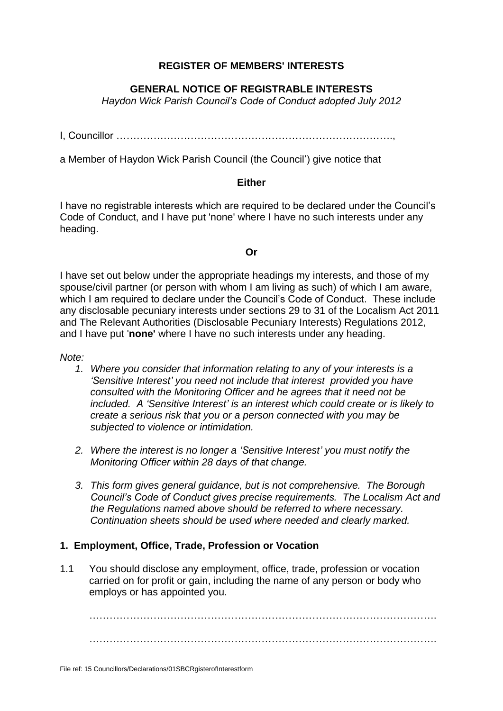### **REGISTER OF MEMBERS' INTERESTS**

### **GENERAL NOTICE OF REGISTRABLE INTERESTS**

*Haydon Wick Parish Council's Code of Conduct adopted July 2012*

I, Councillor ……………………………………………………………………….,

a Member of Haydon Wick Parish Council (the Council') give notice that

#### **Either**

I have no registrable interests which are required to be declared under the Council's Code of Conduct, and I have put 'none' where I have no such interests under any heading.

#### **Or**

I have set out below under the appropriate headings my interests, and those of my spouse/civil partner (or person with whom I am living as such) of which I am aware, which I am required to declare under the Council's Code of Conduct. These include any disclosable pecuniary interests under sections 29 to 31 of the Localism Act 2011 and The Relevant Authorities (Disclosable Pecuniary Interests) Regulations 2012, and I have put '**none'** where I have no such interests under any heading.

*Note:*

- *1. Where you consider that information relating to any of your interests is a 'Sensitive Interest' you need not include that interest provided you have consulted with the Monitoring Officer and he agrees that it need not be included. A 'Sensitive Interest' is an interest which could create or is likely to create a serious risk that you or a person connected with you may be subjected to violence or intimidation.*
- *2. Where the interest is no longer a 'Sensitive Interest' you must notify the Monitoring Officer within 28 days of that change.*
- *3. This form gives general guidance, but is not comprehensive. The Borough Council's Code of Conduct gives precise requirements. The Localism Act and the Regulations named above should be referred to where necessary. Continuation sheets should be used where needed and clearly marked.*

#### **1. Employment, Office, Trade, Profession or Vocation**

1.1 You should disclose any employment, office, trade, profession or vocation carried on for profit or gain, including the name of any person or body who employs or has appointed you.

…………………………………………………………………………………………. ………………………………………………………………………………………….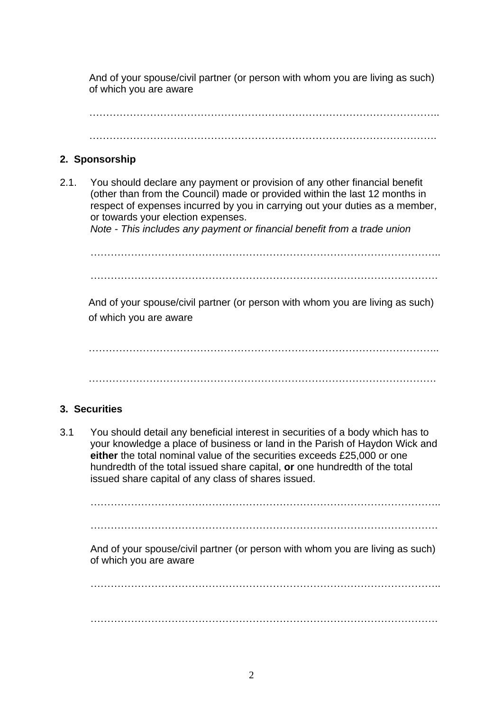And of your spouse/civil partner (or person with whom you are living as such) of which you are aware

…………………………………………………………………………………………..

………………………………………………………………………………………….

## **2. Sponsorship**

2.1. You should declare any payment or provision of any other financial benefit (other than from the Council) made or provided within the last 12 months in respect of expenses incurred by you in carrying out your duties as a member, or towards your election expenses.

*Note - This includes any payment or financial benefit from a trade union*

………………………………………………………………………………………….. ………………………………………………………………………………………….

And of your spouse/civil partner (or person with whom you are living as such) of which you are aware

…………………………………………………………………………………………..

………………………………………………………………………………………….

# **3. Securities**

3.1 You should detail any beneficial interest in securities of a body which has to your knowledge a place of business or land in the Parish of Haydon Wick and **either** the total nominal value of the securities exceeds £25,000 or one hundredth of the total issued share capital, **or** one hundredth of the total issued share capital of any class of shares issued.

………………………………………………………………………………………….. ………………………………………………………………………………………….

And of your spouse/civil partner (or person with whom you are living as such) of which you are aware

………………………………………………………………………………………….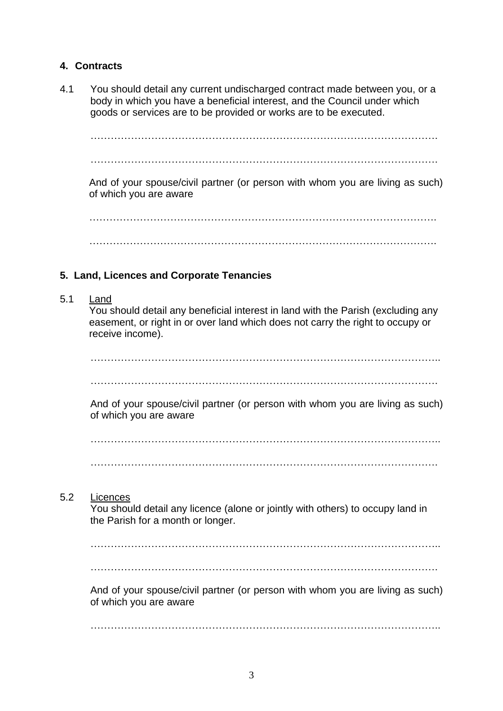## **4. Contracts**

4.1 You should detail any current undischarged contract made between you, or a body in which you have a beneficial interest, and the Council under which goods or services are to be provided or works are to be executed.

…………………………………………………………………………………………. ………………………………………………………………………………………….

And of your spouse/civil partner (or person with whom you are living as such) of which you are aware

…………………………………………………………………………………………. ………………………………………………………………………………………….

# **5. Land, Licences and Corporate Tenancies**

5.1 Land

You should detail any beneficial interest in land with the Parish (excluding any easement, or right in or over land which does not carry the right to occupy or receive income).

…………………………………………………………………………………………..

………………………………………………………………………………………….

And of your spouse/civil partner (or person with whom you are living as such) of which you are aware

………………………………………………………………………………………….. ………………………………………………………………………………………….

5.2 Licences

You should detail any licence (alone or jointly with others) to occupy land in the Parish for a month or longer.

…………………………………………………………………………………………..

………………………………………………………………………………………….

And of your spouse/civil partner (or person with whom you are living as such) of which you are aware

…………………………………………………………………………………………..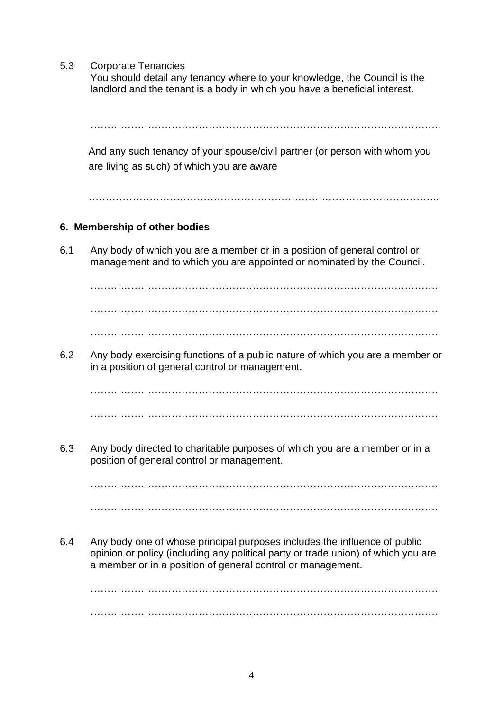5.3 Corporate Tenancies

You should detail any tenancy where to your knowledge, the Council is the landlord and the tenant is a body in which you have a beneficial interest.

………………………………………………………………………………………….. And any such tenancy of your spouse/civil partner (or person with whom you are living as such) of which you are aware

…………………………………………………………………………………………..

### **6. Membership of other bodies**

6.1 Any body of which you are a member or in a position of general control or management and to which you are appointed or nominated by the Council.

…………………………………………………………………………………………. ………………………………………………………………………………………….

………………………………………………………………………………………….

6.2 Any body exercising functions of a public nature of which you are a member or in a position of general control or management.

…………………………………………………………………………………………. ………………………………………………………………………………………….

6.3 Any body directed to charitable purposes of which you are a member or in a position of general control or management.

…………………………………………………………………………………………. ………………………………………………………………………………………….

6.4 Any body one of whose principal purposes includes the influence of public opinion or policy (including any political party or trade union) of which you are a member or in a position of general control or management.

…………………………………………………………………………………………. ………………………………………………………………………………………….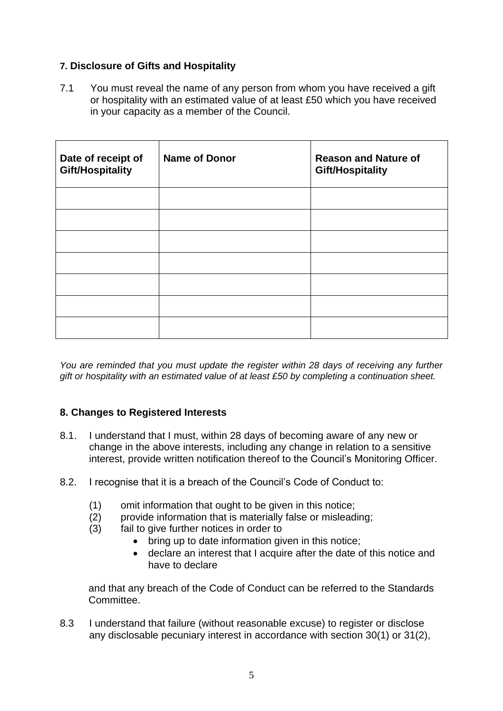### **7. Disclosure of Gifts and Hospitality**

7.1 You must reveal the name of any person from whom you have received a gift or hospitality with an estimated value of at least £50 which you have received in your capacity as a member of the Council.

| Date of receipt of<br><b>Gift/Hospitality</b> | <b>Name of Donor</b> | <b>Reason and Nature of</b><br><b>Gift/Hospitality</b> |
|-----------------------------------------------|----------------------|--------------------------------------------------------|
|                                               |                      |                                                        |
|                                               |                      |                                                        |
|                                               |                      |                                                        |
|                                               |                      |                                                        |
|                                               |                      |                                                        |
|                                               |                      |                                                        |
|                                               |                      |                                                        |

*You are reminded that you must update the register within 28 days of receiving any further gift or hospitality with an estimated value of at least £50 by completing a continuation sheet.*

### **8. Changes to Registered Interests**

- 8.1. I understand that I must, within 28 days of becoming aware of any new or change in the above interests, including any change in relation to a sensitive interest, provide written notification thereof to the Council's Monitoring Officer.
- 8.2. I recognise that it is a breach of the Council's Code of Conduct to:
	- (1) omit information that ought to be given in this notice;
	- (2) provide information that is materially false or misleading;
	- (3) fail to give further notices in order to
		- bring up to date information given in this notice;
		- declare an interest that I acquire after the date of this notice and have to declare

and that any breach of the Code of Conduct can be referred to the Standards **Committee** 

8.3 I understand that failure (without reasonable excuse) to register or disclose any disclosable pecuniary interest in accordance with section 30(1) or 31(2),